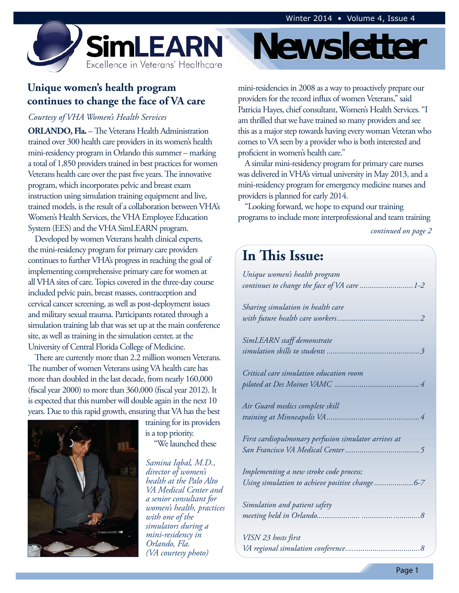

# **Unique women's health program continues to change the face of VA care**

#### *Courtesy of VHA Women's Health Services*

**ORLANDO, Fla.** – The Veterans Health Administration trained over 300 health care providers in its women's health mini-residency program in Orlando this summer – marking a total of 1,850 providers trained in best practices for women Veterans health care over the past five years. The innovative program, which incorporates pelvic and breast exam instruction using simulation training equipment and live, trained models, is the result of a collaboration between VHA's Women's Health Services, the VHA Employee Education System (EES) and the VHA SimLEARN program.

Developed by women Veterans health clinical experts, the mini-residency program for primary care providers continues to further VHA's progress in reaching the goal of implementing comprehensive primary care for women at all VHA sites of care. Topics covered in the three-day course included pelvic pain, breast masses, contraception and cervical cancer screening, as well as post-deployment issues and military sexual trauma. Participants rotated through a simulation training lab that was set up at the main conference site, as well as training in the simulation center, at the University of Central Florida College of Medicine.

There are currently more than 2.2 million women Veterans. The number of women Veterans using VA health care has more than doubled in the last decade, from nearly 160,000 (fiscal year 2000) to more than 360,000 (fiscal year 2012). It is expected that this number will double again in the next 10 years. Due to this rapid growth, ensuring that VA has the best



training for its providers is a top priority. "We launched these

Orlando, Fla. *Samina Iqbal, M.D., director of women's health at the Palo Alto VA Medical Center and a senior consultant for women's health, practices with one of the simulators during a mini-residency in (VA courtesy photo)* 

# **Newsletter**

mini-residencies in 2008 as a way to proactively prepare our providers for the record influx of women Veterans," said Patricia Hayes, chief consultant, Women's Health Services. "I am thrilled that we have trained so many providers and see this as a major step towards having every woman Veteran who comes to VA seen by a provider who is both interested and proficient in women's health care."

A similar mini-residency program for primary care nurses was delivered in VHA's virtual university in May 2013, and a mini-residency program for emergency medicine nurses and providers is planned for early 2014.

"Looking forward, we hope to expand our training programs to include more interprofessional and team training

*continued on page 2* 

# **In This Issue:**

| Unique women's health program                        |
|------------------------------------------------------|
| continues to change the face of VA care 1-2          |
|                                                      |
| Sharing simulation in health care                    |
|                                                      |
| SimLEARN staff demonstrate                           |
|                                                      |
|                                                      |
| Critical care simulation education room              |
|                                                      |
| Air Guard medics complete skill                      |
|                                                      |
| First cardiopulmonary perfusion simulator arrives at |
|                                                      |
| Implementing a new stroke code process;              |
|                                                      |
| Using simulation to achieve positive change6-7       |
| Simulation and patient safety                        |
|                                                      |
|                                                      |
| VISN 23 hosts first                                  |
|                                                      |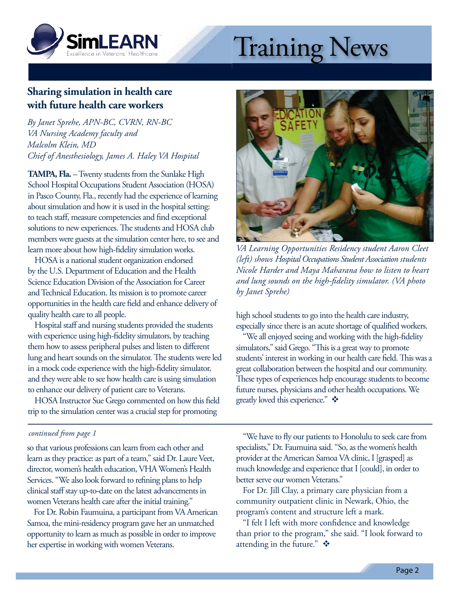<span id="page-1-0"></span>

# Training News

# **Sharing simulation in health care with future health care workers**

*By Janet Sprehe, APN-BC, CVRN, RN-BC VA Nursing Academy faculty and Malcolm Klein, MD Chief of Anesthesiology, James A. Haley VA Hospital* 

**TAMPA, Fla.** – Twenty students from the Sunlake High School Hospital Occupations Student Association (HOSA) in Pasco County, Fla., recently had the experience of learning about simulation and how it is used in the hospital setting: to teach staff, measure competencies and find exceptional solutions to new experiences. The students and HOSA club members were guests at the simulation center here, to see and learn more about how high-fidelity simulation works.

HOSA is a national student organization endorsed by the U.S. Department of Education and the Health Science Education Division of the Association for Career and Technical Education. Its mission is to promote career opportunities in the health care field and enhance delivery of quality health care to all people.

Hospital staff and nursing students provided the students with experience using high-fidelity simulators, by teaching them how to assess peripheral pulses and listen to different lung and heart sounds on the simulator. The students were led in a mock code experience with the high-fidelity simulator, and they were able to see how health care is using simulation to enhance our delivery of patient care to Veterans.

HOSA Instructor Sue Grego commented on how this field trip to the simulation center was a crucial step for promoting

#### *continued from page 1*

so that various professions can learn from each other and learn as they practice: as part of a team," said Dr. Laure Veet, director, women's health education, VHA Women's Health Services. "We also look forward to refining plans to help clinical staff stay up-to-date on the latest advancements in women Veterans health care after the initial training."

For Dr. Robin Faumuina, a participant from VA American Samoa, the mini-residency program gave her an unmatched opportunity to learn as much as possible in order to improve her expertise in working with women Veterans.



*VA Learning Opportunities Residency student Aaron Cleet (left) shows Hospital Occupations Student Association students Nicole Harder and Maya Maharana how to listen to heart and lung sounds on the high-fidelity simulator. (VA photo by Janet Sprehe)* 

 especially since there is an acute shortage of qualified workers. high school students to go into the health care industry,

"We all enjoyed seeing and working with the high-fidelity simulators," said Grego. "This is a great way to promote students' interest in working in our health care field. This was a great collaboration between the hospital and our community. These types of experiences help encourage students to become future nurses, physicians and other health occupations. We greatly loved this experience."  $\mathbf{\hat{P}}$ 

"We have to fly our patients to Honolulu to seek care from specialists," Dr. Faumuina said. "So, as the women's health provider at the American Samoa VA clinic, I [grasped] as much knowledge and experience that I [could], in order to better serve our women Veterans."

For Dr. Jill Clay, a primary care physician from a community outpatient clinic in Newark, Ohio, the program's content and structure left a mark.

"I felt I left with more confidence and knowledge than prior to the program," she said. "I look forward to attending in the future."  $\mathbf{\hat{*}}$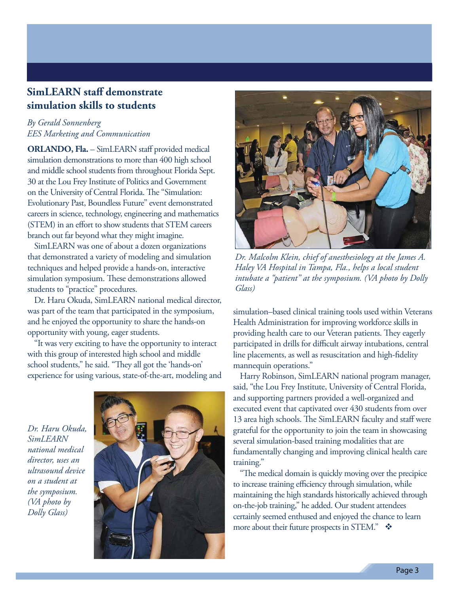# <span id="page-2-0"></span>**SimLEARN staff demonstrate simulation skills to students**

#### *By Gerald Sonnenberg EES Marketing and Communication*

**ORLANDO, Fla.** – SimLEARN staff provided medical simulation demonstrations to more than 400 high school and middle school students from throughout Florida Sept. 30 at the Lou Frey Institute of Politics and Government on the University of Central Florida. The "Simulation: Evolutionary Past, Boundless Future" event demonstrated careers in science, technology, engineering and mathematics (STEM) in an effort to show students that STEM careers branch out far beyond what they might imagine.

SimLEARN was one of about a dozen organizations that demonstrated a variety of modeling and simulation techniques and helped provide a hands-on, interactive simulation symposium. These demonstrations allowed students to "practice" procedures.

Dr. Haru Okuda, SimLEARN national medical director, was part of the team that participated in the symposium, and he enjoyed the opportunity to share the hands-on opportunity with young, eager students.

"It was very exciting to have the opportunity to interact with this group of interested high school and middle school students," he said. "They all got the 'hands-on' experience for using various, state-of-the-art, modeling and

*Dr. Haru Okuda, SimLEARN national medical director, uses an ultrasound device on a student at the symposium. (VA photo by Dolly Glass)* 





*Dr. Malcolm Klein, chief of anesthesiology at the James A. Haley VA Hospital in Tampa, Fla., helps a local student intubate a "patient" at the symposium. (VA photo by Dolly Glass)* 

simulation–based clinical training tools used within Veterans Health Administration for improving workforce skills in providing health care to our Veteran patients. They eagerly participated in drills for difficult airway intubations, central line placements, as well as resuscitation and high-fidelity mannequin operations."

Harry Robinson, SimLEARN national program manager, said, "the Lou Frey Institute, University of Central Florida, and supporting partners provided a well-organized and executed event that captivated over 430 students from over 13 area high schools. The SimLEARN faculty and staff were grateful for the opportunity to join the team in showcasing several simulation-based training modalities that are fundamentally changing and improving clinical health care training."

"The medical domain is quickly moving over the precipice to increase training efficiency through simulation, while maintaining the high standards historically achieved through on-the-job training," he added. Our student attendees certainly seemed enthused and enjoyed the chance to learn more about their future prospects in STEM."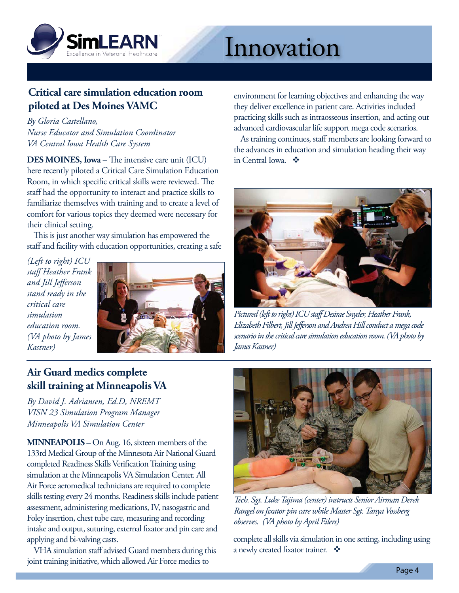<span id="page-3-0"></span>

# Innovation

# **Critical care simulation education room piloted at Des Moines VAMC**

*By Gloria Castellano, Nurse Educator and Simulation Coordinator VA Central Iowa Health Care System* 

**DES MOINES, Iowa** – The intensive care unit (ICU) here recently piloted a Critical Care Simulation Education Room, in which specific critical skills were reviewed. The staff had the opportunity to interact and practice skills to familiarize themselves with training and to create a level of comfort for various topics they deemed were necessary for their clinical setting.

This is just another way simulation has empowered the staff and facility with education opportunities, creating a safe

*(Left to right) ICU staff Heather Frank and Jill Jefferson stand ready in the critical care simulation education room. (VA photo by James Kastner)* 



**Air Guard medics complete skill training at Minneapolis VA** 

*By David J. Adriansen, Ed.D, NREMT VISN 23 Simulation Program Manager Minneapolis VA Simulation Center* 

**MINNEAPOLIS** – On Aug. 16, sixteen members of the 133rd Medical Group of the Minnesota Air National Guard completed Readiness Skills Verification Training using simulation at the Minneapolis VA Simulation Center. All Air Force aeromedical technicians are required to complete skills testing every 24 months. Readiness skills include patient assessment, administering medications, IV, nasogastric and Foley insertion, chest tube care, measuring and recording intake and output, suturing, external fixator and pin care and applying and bi-valving casts.

VHA simulation staff advised Guard members during this joint training initiative, which allowed Air Force medics to

environment for learning objectives and enhancing the way they deliver excellence in patient care. Activities included practicing skills such as intraosseous insertion, and acting out advanced cardiovascular life support mega code scenarios.

As training continues, staff members are looking forward to the advances in education and simulation heading their way in Central Iowa. ❖



*Pictured (left to right) ICU staff Desirae Snyder, Heather Frank, Elizabeth Filbert, Jill Jefferson and Andrea Hill conduct a mega code scenario in the critical care simulation education room. (VA photo by James Kastner)* 



*Tech. Sgt. Luke Tajima (center) instructs Senior Airman Derek Rangel on fixator pin care while Master Sgt. Tanya Vossberg observes. (VA photo by April Eilers)* 

complete all skills via simulation in one setting, including using a newly created fixator trainer.  $\bullet$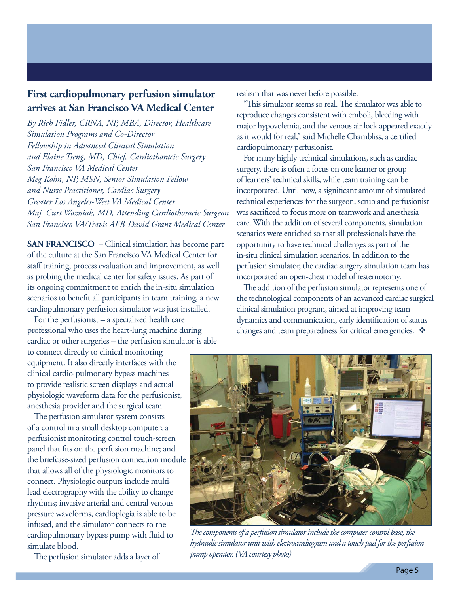### <span id="page-4-0"></span>**First cardiopulmonary perfusion simulator arrives at San Francisco VA Medical Center**

*By Rich Fidler, CRNA, NP, MBA, Director, Healthcare Simulation Programs and Co-Director Fellowship in Advanced Clinical Simulation and Elaine Tseng, MD, Chief, Cardiothoracic Surgery San Francisco VA Medical Center Meg Kohn, NP, MSN, Senior Simulation Fellow and Nurse Practitioner, Cardiac Surgery Greater Los Angeles-West VA Medical Center Maj. Curt Wozniak, MD, Attending Cardiothoracic Surgeon San Francisco VA/Travis AFB-David Grant Medical Center* 

**SAN FRANCISCO** – Clinical simulation has become part of the culture at the San Francisco VA Medical Center for staff training, process evaluation and improvement, as well as probing the medical center for safety issues. As part of its ongoing commitment to enrich the in-situ simulation scenarios to benefit all participants in team training, a new cardiopulmonary perfusion simulator was just installed.

For the perfusionist – a specialized health care professional who uses the heart-lung machine during cardiac or other surgeries – the perfusion simulator is able

to connect directly to clinical monitoring equipment. It also directly interfaces with the clinical cardio-pulmonary bypass machines to provide realistic screen displays and actual physiologic waveform data for the perfusionist, anesthesia provider and the surgical team.

The perfusion simulator system consists of a control in a small desktop computer; a perfusionist monitoring control touch-screen panel that fits on the perfusion machine; and the briefcase-sized perfusion connection module that allows all of the physiologic monitors to connect. Physiologic outputs include multi lead electrography with the ability to change rhythms; invasive arterial and central venous pressure waveforms, cardioplegia is able to be infused, and the simulator connects to the cardiopulmonary bypass pump with fluid to simulate blood.

The perfusion simulator adds a layer of

realism that was never before possible.

"This simulator seems so real. The simulator was able to reproduce changes consistent with emboli, bleeding with major hypovolemia, and the venous air lock appeared exactly as it would for real," said Michelle Chambliss, a certified cardiopulmonary perfusionist.

incorporated an open-chest model of resternotomy. For many highly technical simulations, such as cardiac surgery, there is often a focus on one learner or group of learners' technical skills, while team training can be incorporated. Until now, a significant amount of simulated technical experiences for the surgeon, scrub and perfusionist was sacrificed to focus more on teamwork and anesthesia care. With the addition of several components, simulation scenarios were enriched so that all professionals have the opportunity to have technical challenges as part of the in-situ clinical simulation scenarios. In addition to the perfusion simulator, the cardiac surgery simulation team has

The addition of the perfusion simulator represents one of the technological components of an advanced cardiac surgical clinical simulation program, aimed at improving team dynamics and communication, early identification of status changes and team preparedness for critical emergencies.  $\mathbf{\hat{P}}$ 



*The components of a perfusion simulator include the computer control base, the hydraulic simulator unit with electrocardiogram and a touch pad for the perfusion pump operator. (VA courtesy photo)*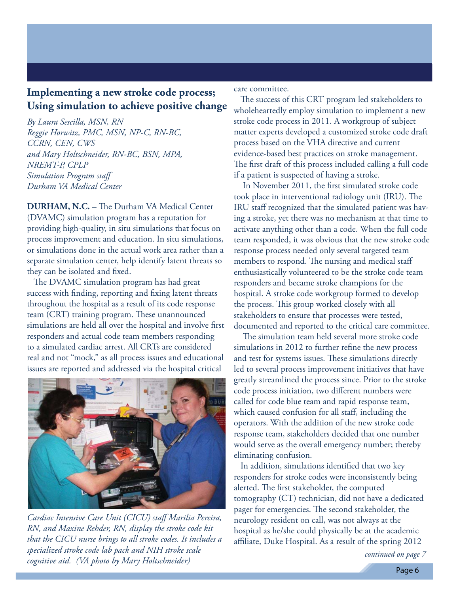## <span id="page-5-0"></span>**Implementing a new stroke code process; Using simulation to achieve positive change**

*By Laura Sescilla, MSN, RN Reggie Horwitz, PMC, MSN, NP-C, RN-BC, CCRN, CEN, CWS and Mary Holtschneider, RN-BC, BSN, MPA, NREMT-P, CPLP Simulation Program staff Durham VA Medical Center* 

**DURHAM, N.C. –** The Durham VA Medical Center (DVAMC) simulation program has a reputation for providing high-quality, in situ simulations that focus on process improvement and education. In situ simulations, or simulations done in the actual work area rather than a separate simulation center, help identify latent threats so they can be isolated and fixed.

The DVAMC simulation program has had great success with finding, reporting and fixing latent threats throughout the hospital as a result of its code response team (CRT) training program. These unannounced simulations are held all over the hospital and involve first responders and actual code team members responding to a simulated cardiac arrest. All CRTs are considered real and not "mock," as all process issues and educational issues are reported and addressed via the hospital critical



*Cardiac Intensive Care Unit (CICU) staff Marilia Pereira, RN, and Maxine Rehder, RN, display the stroke code kit that the CICU nurse brings to all stroke codes. It includes a specialized stroke code lab pack and NIH stroke scale cognitive aid. (VA photo by Mary Holtschneider)* 

care committee.

The success of this CRT program led stakeholders to wholeheartedly employ simulation to implement a new stroke code process in 2011. A workgroup of subject matter experts developed a customized stroke code draft process based on the VHA directive and current evidence-based best practices on stroke management. The first draft of this process included calling a full code if a patient is suspected of having a stroke.

 In November 2011, the first simulated stroke code took place in interventional radiology unit (IRU). The IRU staff recognized that the simulated patient was hav ing a stroke, yet there was no mechanism at that time to activate anything other than a code. When the full code team responded, it was obvious that the new stroke code response process needed only several targeted team members to respond. The nursing and medical staff enthusiastically volunteered to be the stroke code team responders and became stroke champions for the hospital. A stroke code workgroup formed to develop the process. This group worked closely with all stakeholders to ensure that processes were tested, documented and reported to the critical care committee.

 The simulation team held several more stroke code simulations in 2012 to further refine the new process and test for systems issues. These simulations directly led to several process improvement initiatives that have greatly streamlined the process since. Prior to the stroke code process initiation, two different numbers were called for code blue team and rapid response team, which caused confusion for all staff, including the operators. With the addition of the new stroke code response team, stakeholders decided that one number would serve as the overall emergency number; thereby eliminating confusion.

In addition, simulations identified that two key responders for stroke codes were inconsistently being alerted. The first stakeholder, the computed tomography (CT) technician, did not have a dedicated pager for emergencies. The second stakeholder, the neurology resident on call, was not always at the hospital as he/she could physically be at the academic affiliate, Duke Hospital. As a result of the spring 2012

*continued on page 7*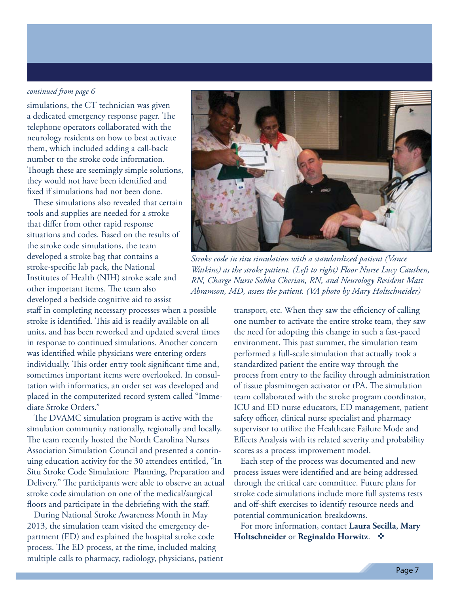#### *continued from page 6*

simulations, the CT technician was given a dedicated emergency response pager. The telephone operators collaborated with the neurology residents on how to best activate them, which included adding a call-back number to the stroke code information. Though these are seemingly simple solutions, they would not have been identified and fixed if simulations had not been done.

These simulations also revealed that certain tools and supplies are needed for a stroke that differ from other rapid response situations and codes. Based on the results of the stroke code simulations, the team developed a stroke bag that contains a stroke-specific lab pack, the National Institutes of Health (NIH) stroke scale and other important items. The team also developed a bedside cognitive aid to assist

staff in completing necessary processes when a possible stroke is identified. This aid is readily available on all units, and has been reworked and updated several times in response to continued simulations. Another concern was identified while physicians were entering orders individually. This order entry took significant time and, sometimes important items were overlooked. In consul tation with informatics, an order set was developed and placed in the computerized record system called "Imme diate Stroke Orders."

The DVAMC simulation program is active with the simulation community nationally, regionally and locally. The team recently hosted the North Carolina Nurses Association Simulation Council and presented a contin uing education activity for the 30 attendees entitled, "In Situ Stroke Code Simulation: Planning, Preparation and Delivery." The participants were able to observe an actual stroke code simulation on one of the medical/surgical floors and participate in the debriefing with the staff.

During National Stroke Awareness Month in May 2013, the simulation team visited the emergency de partment (ED) and explained the hospital stroke code process. The ED process, at the time, included making multiple calls to pharmacy, radiology, physicians, patient



*Stroke code in situ simulation with a standardized patient (Vance Watkins) as the stroke patient. (Left to right) Floor Nurse Lucy Cauthen, RN, Charge Nurse Sobha Cherian, RN, and Neurology Resident Matt Abramson, MD, assess the patient. (VA photo by Mary Holtschneider)* 

transport, etc. When they saw the efficiency of calling one number to activate the entire stroke team, they saw the need for adopting this change in such a fast-paced environment. This past summer, the simulation team performed a full-scale simulation that actually took a standardized patient the entire way through the process from entry to the facility through administration of tissue plasminogen activator or tPA. The simulation team collaborated with the stroke program coordinator, ICU and ED nurse educators, ED management, patient safety officer, clinical nurse specialist and pharmacy supervisor to utilize the Healthcare Failure Mode and Effects Analysis with its related severity and probability scores as a process improvement model.

Each step of the process was documented and new process issues were identified and are being addressed through the critical care committee. Future plans for stroke code simulations include more full systems tests and off-shift exercises to identify resource needs and potential communication breakdowns.

For more information, contact **Laura Secilla**, **Mary Holtschneider** or **Reginaldo Horwitz**.